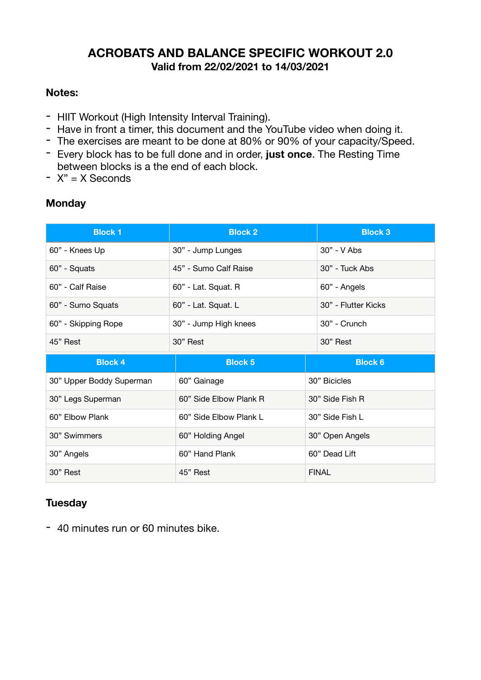### **ACROBATS AND BALANCE SPECIFIC WORKOUT 2.0 Valid from 22/02/2021 to 14/03/2021**

#### **Notes:**

- HIIT Workout (High Intensity Interval Training).
- Have in front a timer, this document and the YouTube video when doing it.
- The exercises are meant to be done at 80% or 90% of your capacity/Speed.
- Every block has to be full done and in order, **just once**. The Resting Time between blocks is a the end of each block.
- $-$  X" = X Seconds

#### **Monday**

| <b>Block 1</b>           | <b>Block 2</b>         | <b>Block 3</b>      |
|--------------------------|------------------------|---------------------|
| 60" - Knees Up           | 30" - Jump Lunges      | 30" - V Abs         |
| 60" - Squats             | 45" - Sumo Calf Raise  | 30" - Tuck Abs      |
| 60" - Calf Raise         | 60" - Lat. Squat. R    | 60" - Angels        |
| 60" - Sumo Squats        | 60" - Lat. Squat. L    | 30" - Flutter Kicks |
| 60" - Skipping Rope      | 30" - Jump High knees  | 30" - Crunch        |
| 45" Rest                 | 30" Rest               | 30" Rest            |
|                          |                        |                     |
| <b>Block 4</b>           | <b>Block 5</b>         | <b>Block 6</b>      |
| 30" Upper Boddy Superman | 60" Gainage            | 30" Bicicles        |
| 30" Legs Superman        | 60" Side Elbow Plank R | 30" Side Fish R     |
| 60" Elbow Plank          | 60" Side Elbow Plank L | 30" Side Fish L     |
| 30" Swimmers             | 60" Holding Angel      | 30" Open Angels     |
| 30" Angels               | 60" Hand Plank         | 60" Dead Lift       |

#### **Tuesday**

- 40 minutes run or 60 minutes bike.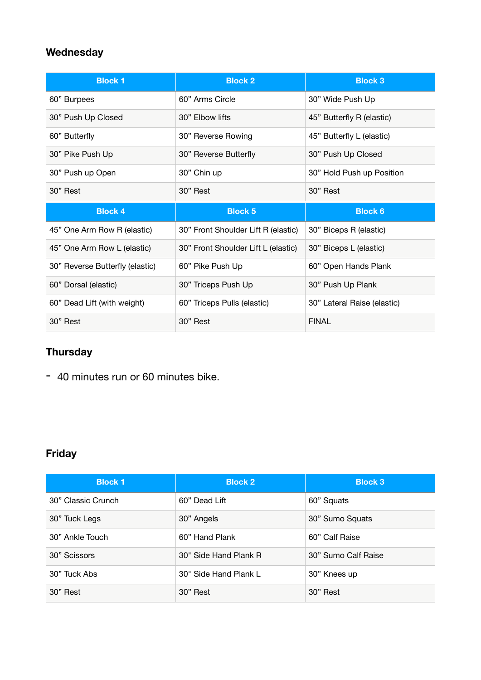## **Wednesday**

| <b>Block 1</b>                  | <b>Block 2</b>                      | <b>Block 3</b>              |
|---------------------------------|-------------------------------------|-----------------------------|
| 60" Burpees                     | 60" Arms Circle                     | 30" Wide Push Up            |
| 30" Push Up Closed              | 30" Elbow lifts                     | 45" Butterfly R (elastic)   |
| 60" Butterfly                   | 30" Reverse Rowing                  | 45" Butterfly L (elastic)   |
| 30" Pike Push Up                | 30" Reverse Butterfly               | 30" Push Up Closed          |
| 30" Push up Open                | 30" Chin up                         | 30" Hold Push up Position   |
| 30" Rest                        | 30" Rest                            | 30" Rest                    |
|                                 |                                     |                             |
| <b>Block 4</b>                  | <b>Block 5</b>                      | <b>Block 6</b>              |
| 45" One Arm Row R (elastic)     | 30" Front Shoulder Lift R (elastic) | 30" Biceps R (elastic)      |
| 45" One Arm Row L (elastic)     | 30" Front Shoulder Lift L (elastic) | 30" Biceps L (elastic)      |
| 30" Reverse Butterfly (elastic) | 60" Pike Push Up                    | 60" Open Hands Plank        |
| 60" Dorsal (elastic)            | 30" Triceps Push Up                 | 30" Push Up Plank           |
| 60" Dead Lift (with weight)     | 60" Triceps Pulls (elastic)         | 30" Lateral Raise (elastic) |

# **Thursday**

- 40 minutes run or 60 minutes bike.

## **Friday**

| <b>Block 1</b>     | <b>Block 2</b>        | <b>Block 3</b>      |
|--------------------|-----------------------|---------------------|
| 30" Classic Crunch | 60" Dead Lift         | 60" Squats          |
| 30" Tuck Legs      | 30" Angels            | 30" Sumo Squats     |
| 30" Ankle Touch    | 60" Hand Plank        | 60" Calf Raise      |
| 30" Scissors       | 30" Side Hand Plank R | 30" Sumo Calf Raise |
| 30" Tuck Abs       | 30" Side Hand Plank L | 30" Knees up        |
| 30" Rest           | 30" Rest              | 30" Rest            |